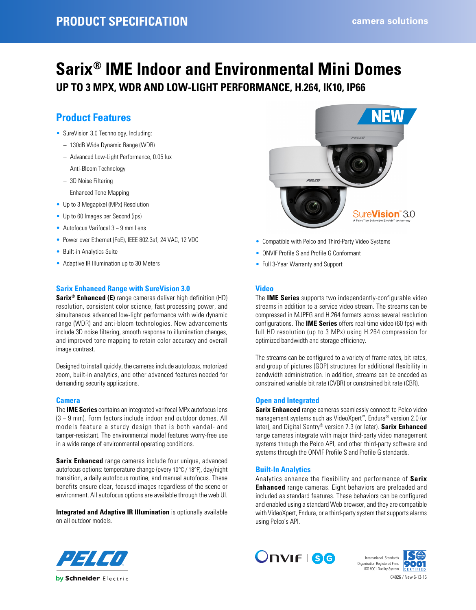## **Sarix® IME Indoor and Environmental Mini Domes UP TO 3 MPX, WDR AND LOW-LIGHT PERFORMANCE, H.264, IK10, IP66**

### **Product Features**

- SureVision 3.0 Technology, Including:
	- 130dB Wide Dynamic Range (WDR)
	- Advanced Low-Light Performance, 0.05 lux
	- Anti-Bloom Technology
	- 3D Noise Filtering
	- Enhanced Tone Mapping
- Up to 3 Megapixel (MPx) Resolution
- Up to 60 Images per Second (ips)
- Autofocus Varifocal 3 ~ 9 mm Lens
- Power over Ethernet (PoE), IEEE 802.3af, 24 VAC, 12 VDC
- Built-in Analytics Suite
- Adaptive IR Illumination up to 30 Meters

#### **Sarix Enhanced Range with SureVision 3.0**

**Sarix® Enhanced (E)** range cameras deliver high definition (HD) resolution, consistent color science, fast processing power, and simultaneous advanced low-light performance with wide dynamic range (WDR) and anti-bloom technologies. New advancements include 3D noise filtering, smooth response to illumination changes, and improved tone mapping to retain color accuracy and overall image contrast.

Designed to install quickly, the cameras include autofocus, motorized zoom, built-in analytics, and other advanced features needed for demanding security applications.

#### **Camera**

The **IME Series** contains an integrated varifocal MPx autofocus lens (3 ~ 9 mm). Form factors include indoor and outdoor domes. All models feature a sturdy design that is both vandal- and tamper-resistant. The environmental model features worry-free use in a wide range of environmental operating conditions.

**Sarix Enhanced** range cameras include four unique, advanced autofocus options: temperature change (every 10°C / 18°F), day/night transition, a daily autofocus routine, and manual autofocus. These benefits ensure clear, focused images regardless of the scene or environment. All autofocus options are available through the web UI.

**Integrated and Adaptive IR Illumination** is optionally available on all outdoor models.



- Compatible with Pelco and Third-Party Video Systems
- ONVIF Profile S and Profile G Conformant
- Full 3-Year Warranty and Support

#### **Video**

The **IME Series** supports two independently-configurable video streams in addition to a service video stream. The streams can be compressed in MJPEG and H.264 formats across several resolution configurations. The **IME Series** offers real-time video (60 fps) with full HD resolution (up to 3 MPx) using H.264 compression for optimized bandwidth and storage efficiency.

The streams can be configured to a variety of frame rates, bit rates, and group of pictures (GOP) structures for additional flexibility in bandwidth administration. In addition, streams can be encoded as constrained variable bit rate (CVBR) or constrained bit rate (CBR).

#### **Open and Integrated**

**Sarix Enhanced** range cameras seamlessly connect to Pelco video management systems such as VideoXpert™, Endura® version 2.0 (or later), and Digital Sentry® version 7.3 (or later). **Sarix Enhanced** range cameras integrate with major third-party video management systems through the Pelco API, and other third-party software and systems through the ONVIF Profile S and Profile G standards.

#### **Built-In Analytics**

Analytics enhance the flexibility and performance of **Sarix Enhanced** range cameras. Eight behaviors are preloaded and included as standard features. These behaviors can be configured and enabled using a standard Web browser, and they are compatible with VideoXpert, Endura, or a third-party system that supports alarms using Pelco's API.





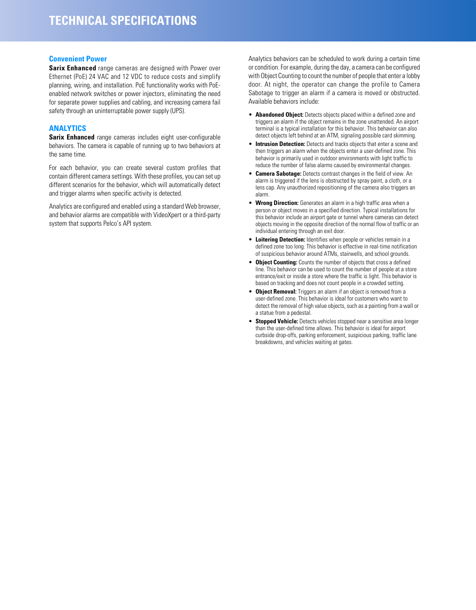#### **Convenient Power**

**Sarix Enhanced** range cameras are designed with Power over Ethernet (PoE) 24 VAC and 12 VDC to reduce costs and simplify planning, wiring, and installation. PoE functionality works with PoEenabled network switches or power injectors, eliminating the need for separate power supplies and cabling, and increasing camera fail safety through an uninterruptable power supply (UPS).

#### **ANALYTICS**

**Sarix Enhanced** range cameras includes eight user-configurable behaviors. The camera is capable of running up to two behaviors at the same time.

For each behavior, you can create several custom profiles that contain different camera settings. With these profiles, you can set up different scenarios for the behavior, which will automatically detect and trigger alarms when specific activity is detected.

Analytics are configured and enabled using a standard Web browser, and behavior alarms are compatible with VideoXpert or a third-party system that supports Pelco's API system.

Analytics behaviors can be scheduled to work during a certain time or condition. For example, during the day, a camera can be configured with Object Counting to count the number of people that enter a lobby door. At night, the operator can change the profile to Camera Sabotage to trigger an alarm if a camera is moved or obstructed. Available behaviors include:

- **Abandoned Object:** Detects objects placed within a defined zone and triggers an alarm if the object remains in the zone unattended. An airport terminal is a typical installation for this behavior. This behavior can also detect objects left behind at an ATM, signaling possible card skimming.
- **Intrusion Detection:** Detects and tracks objects that enter a scene and then triggers an alarm when the objects enter a user-defined zone. This behavior is primarily used in outdoor environments with light traffic to reduce the number of false alarms caused by environmental changes.
- **Camera Sabotage:** Detects contrast changes in the field of view. An alarm is triggered if the lens is obstructed by spray paint, a cloth, or a lens cap. Any unauthorized repositioning of the camera also triggers an alarm.
- **Wrong Direction:** Generates an alarm in a high traffic area when a person or object moves in a specified direction. Typical installations for this behavior include an airport gate or tunnel where cameras can detect objects moving in the opposite direction of the normal flow of traffic or an individual entering through an exit door.
- **Loitering Detection:** Identifies when people or vehicles remain in a defined zone too long. This behavior is effective in real-time notification of suspicious behavior around ATMs, stairwells, and school grounds.
- **Object Counting:** Counts the number of objects that cross a defined line. This behavior can be used to count the number of people at a store entrance/exit or inside a store where the traffic is light. This behavior is based on tracking and does not count people in a crowded setting.
- **Object Removal:** Triggers an alarm if an object is removed from a user-defined zone. This behavior is ideal for customers who want to detect the removal of high value objects, such as a painting from a wall or a statue from a pedestal.
- **Stopped Vehicle:** Detects vehicles stopped near a sensitive area longer than the user-defined time allows. This behavior is ideal for airport curbside drop-offs, parking enforcement, suspicious parking, traffic lane breakdowns, and vehicles waiting at gates.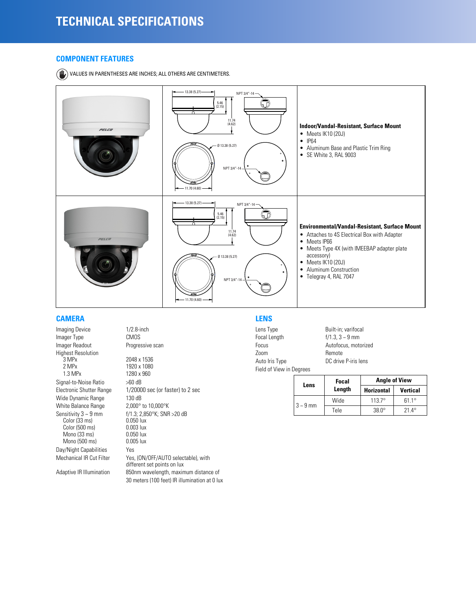#### **COMPONENT FEATURES**

VALUES IN PARENTHESES ARE INCHES; ALL OTHERS ARE CENTIMETERS.



#### **CAMERA**

Imaging Device 1/2.8-inch Imager Type CMOS Imager Readout Progressive scan Highest Resolution<br>3 MPx 3 MPx 2048 x 1536<br>2 MPx 1920 x 1080 1.3 MPx 1280 x 960 Signal-to-Noise Ratio >60 dB Wide Dynamic Range 130 dB White Balance Range 2,000 $^{\circ}$  to 10,000 $^{\circ}$ K<br>Sensitivity 3 ~ 9 mm  $f/1.3; 2,850^{\circ}$ K; SNR Color (33 ms) 0.050 lux Color (500 ms) 0.003 lux<br>
Mono (33 ms) 0.050 lux Mono (33 ms) 0.050 lux<br>Mono (500 ms) 0.005 lux Mono  $(500 \text{ ms})$ Day/Night Capabilities Yes<br>Mechanical IR Cut Filter Yes

1920 x 1080 Electronic Shutter Range 1/20000 sec (or faster) to 2 sec f/1.3; 2,850°K; SNR >20 dB<br>0.050 lux Yes, (ON/OFF/AUTO selectable), with different set points on lux Adaptive IR Illumination 850nm wavelength, maximum distance of 30 meters (100 feet) IR illumination at 0 lux

#### **LENS**

```
Lens Type Built-in; varifocal
Focal Length f/1.3, 3 \sim 9 mm
Focus Autofocus, motorized
Zoom Remote
Auto Iris Type DC drive P-iris lens
Field of View in Degrees
```

| Lens          | Focal  | <b>Angle of View</b> |                 |  |
|---------------|--------|----------------------|-----------------|--|
|               | Length | <b>Horizontal</b>    | <b>Vertical</b> |  |
| $3 \sim 9$ mm | Wide   | $1137^{\circ}$       | $611^\circ$     |  |
|               | Tele   | $38.0^\circ$         | $21.4^{\circ}$  |  |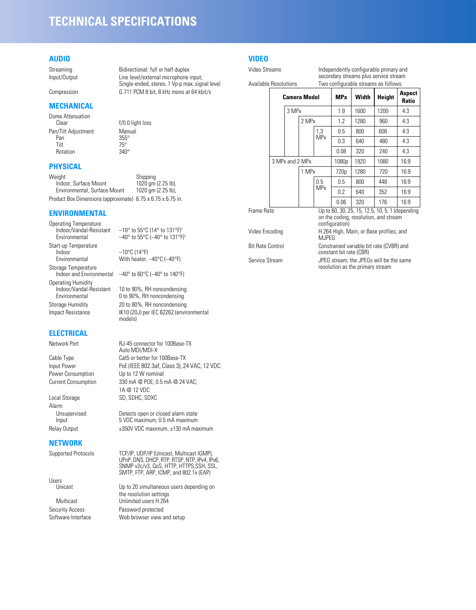## **TECHNICAL SPECIFICATIONS**

#### **AUDIO**

#### **MECHANICAL**

Dome Attenuation<br>Clear Pan/Tilt Adjustment Manual<br>Pan 355° Pan 355°<br>Tilt 75° Rotation

# $75^\circ$ <br>340°

#### **PHYSICAL**

Weight Shipping<br>
Indoor, Surface Mount 1020 qm (2.25 lb), Indoor, Surface Mount Environmental, Surface Mount 1020 gm (2.25 lb), Product Box Dimensions (approximate) 6.75 x 6.75 x 6.75 in.

#### **ENVIRONMENTAL**

Operating Temperature<br>Indoor/Vandal-Resistant Start-up Temperature Environmental With heater, –40°C (–40°F) Storage Temperature<br>Indoor and Environmental Operating Humidity<br>Indoor/Vandal-Resistant

#### **ELECTRICAL**

Power Consumption Up to 12 W nominal

Alarm

#### **NETWORK**

Users<br>Unicast

Streaming Bidirectional: full or half duplex Input/Output Line level/external microphone input; Single-ended, stereo, 1 Vp-p max. signal level Compression G.711 PCM 8 bit, 8 kHz mono at 64 kbit/s

 $f/0.0$  light loss

 $-10^{\circ}$  to 55°C (14° to 131°F)<sup>†</sup> Environmental  $-40^\circ$  to 55 $\degree$ C ( $-40^\circ$  to 131 $\degree$ F)<sup>+</sup>  $-10$ °C (14°F)

 $-40^\circ$  to 60°C ( $-40^\circ$  to 140°F)

Indoor/Vandal-Resistant 10 to 90%, RH noncondensing 0 to 90%, RH noncondensing Storage Humidity 20 to 80%, RH noncondensing Impact Resistance IK10 (20J) per IEC 62262 (environmental models)

Network Port RJ-45 connector for 100Base-TX Auto MDI/MDI-X Cable Type Cat5 or better for 100Base-TX Input Power PoE (IEEE 802.3af, Class 3), 24 VAC, 12 VDC Current Consumption 330 mA @ POE; 0.5 mA @ 24 VAC; 1A @ 12 VDC Local Storage SD, SDHC, SDXC

Unsupervised Detects open or closed alarm state<br>Input 5 VDC maximum, 0.5 mA maximum 5 VDC maximum, 0.5 mA maximum Relay Output  $\pm 350V$  VDC maximum,  $\pm 130$  mA maximum

Supported Protocols TCP/IP, UDP/IP (Unicast, Multicast IGMP), UPnP, DNS, DHCP, RTP, RTSP, NTP, IPv4, IPv6, SNMP v2c/v3, QoS, HTTP, HTTPS,SSH, SSL, SMTP, FTP, ARP, ICMP, and 802.1x (EAP)

Up to 20 simultaneous users depending on the resolution settings Multicast Unlimited users H.264 Security Access Password protected Software Interface Web browser view and setup

#### **VIDEO**

Video Streams **Independently configurable primary and** secondary streams plus service stream

Available Resolutions Two configurable streams as follows:

|                                | <b>Camera Model</b> |  |                                                                                                            | <b>MPx</b>                              | Width            | Height | <b>Aspect</b><br>Ratio |      |
|--------------------------------|---------------------|--|------------------------------------------------------------------------------------------------------------|-----------------------------------------|------------------|--------|------------------------|------|
|                                |                     |  | 3 MPx                                                                                                      |                                         | 1.9              | 1600   | 1200                   | 4:3  |
|                                |                     |  | 2 MPx                                                                                                      |                                         | 1.2              | 1280   | 960                    | 4:3  |
|                                |                     |  |                                                                                                            | 1,3                                     | 0.5              | 800    | 608                    | 4:3  |
|                                |                     |  |                                                                                                            | <b>MP<sub>x</sub></b>                   | 0.3              | 640    | 480                    | 4:3  |
|                                |                     |  |                                                                                                            |                                         | 0.08             | 320    | 240                    | 4:3  |
|                                |                     |  | 3 MPx and 2 MPx<br>1 MPx                                                                                   |                                         | 1080p            | 1920   | 1080                   | 16:9 |
|                                |                     |  |                                                                                                            |                                         | 720 <sub>p</sub> | 1280   | 720                    | 16:9 |
|                                |                     |  |                                                                                                            | 0.5                                     | 0.5              | 800    | 448                    | 16:9 |
|                                |                     |  |                                                                                                            | <b>MP<sub>x</sub></b>                   | 0.2              | 640    | 352                    | 16:9 |
|                                |                     |  |                                                                                                            |                                         | 0.06             | 320    | 176                    | 16:9 |
| Frame Rate                     |                     |  | Up to 60, 30, 25, 15, 12.5, 10, 5, 1 (depending<br>on the coding, resolution, and stream<br>configuration) |                                         |                  |        |                        |      |
| Video Encoding<br><b>MJPEG</b> |                     |  |                                                                                                            | H.264 High, Main, or Base profiles; and |                  |        |                        |      |
| <b>Bit Rate Control</b>        |                     |  | Constrained variable bit rate (CVBR) and                                                                   |                                         |                  |        |                        |      |

constant bit rate (CBR)

Service Stream JPEG stream; the JPEGs will be the same resolution as the primary stream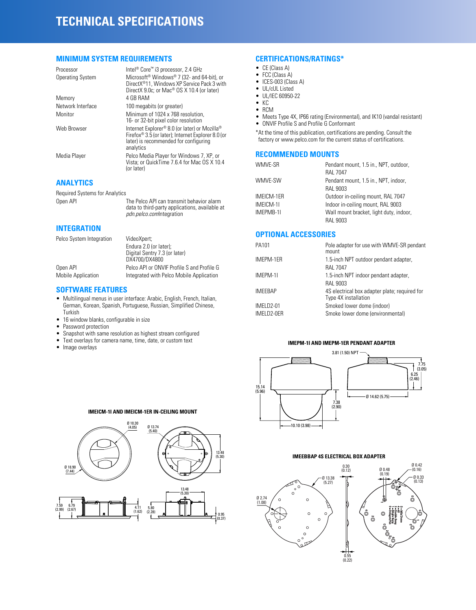## **TECHNICAL SPECIFICATIONS**

#### **MINIMUM SYSTEM REQUIREMENTS**

| Processor               | Intel <sup>®</sup> Core <sup>™</sup> i3 processor, 2.4 GHz                                                                                                            |
|-------------------------|-----------------------------------------------------------------------------------------------------------------------------------------------------------------------|
| <b>Operating System</b> | Microsoft <sup>®</sup> Windows <sup>®</sup> 7 (32- and 64-bit), or<br>DirectX®11, Windows XP Service Pack 3 with<br>DirectX 9.0c; or Mac® OS X 10.4 (or later)        |
| Memory                  | 4 GB RAM                                                                                                                                                              |
| Network Interface       | 100 megabits (or greater)                                                                                                                                             |
| Monitor                 | Minimum of 1024 x 768 resolution,<br>16- or 32-bit pixel color resolution                                                                                             |
| Web Browser             | Internet Explorer® 8.0 (or later) or Mozilla®<br>Firefox <sup>®</sup> 3.5 (or later); Internet Explorer 8.0 (or<br>later) is recommended for configuring<br>analytics |
| Media Player            | Pelco Media Player for Windows 7, XP, or<br>Vista; or QuickTime 7.6.4 for Mac OS X 10.4<br>(or later)                                                                 |

*pdn.pelco.com*Integration

#### **ANALYTICS**

Required Systems for Analytics Open API The Pelco API can transmit behavior alarm data to third-party applications, available at

**INTEGRATION**

| Pelco System Integration  | VideoXpert:                                |  |  |
|---------------------------|--------------------------------------------|--|--|
|                           | Endura 2.0 (or later);                     |  |  |
|                           | Digital Sentry 7.3 (or later)              |  |  |
|                           | DX4700/DX4800                              |  |  |
| Open API                  | Pelco API or ONVIF Profile S and Profile G |  |  |
| <b>Mobile Application</b> | Integrated with Pelco Mobile Application   |  |  |

#### **SOFTWARE FEATURES**

- Multilingual menus in user interface: Arabic, English, French, Italian, German, Korean, Spanish, Portuguese, Russian, Simplified Chinese, Turkish
- 16 window blanks, configurable in size
- Password protection
- Snapshot with same resolution as highest stream configured
- Text overlays for camera name, time, date, or custom text
- Image overlays

#### **CERTIFICATIONS/RATINGS\***

- CE (Class A)
- FCC (Class A)
- ICES-003 (Class A)
- UL/cUL Listed
- UL/IEC 60950-22 • KC
- RCM
- Meets Type 4X, IP66 rating (Environmental), and IK10 (vandal resistant)
- ONVIF Profile S and Profile G Conformant

\*At the time of this publication, certifications are pending. Consult the factory or www.pelco.com for the current status of certifications.

#### **RECOMMENDED MOUNTS**

| WMVE-SR    | Pendant mount, 1.5 in., NPT, outdoor,<br><b>RAL 7047</b> |
|------------|----------------------------------------------------------|
| WMVE-SW    | Pendant mount, 1.5 in., NPT, indoor,<br>RAL 9003         |
| IMEICM-1ER | Outdoor in-ceiling mount, RAL 7047                       |
| IMEICM-11  | Indoor in-ceiling mount, RAL 9003                        |
| IMEPMB-11  | Wall mount bracket, light duty, indoor,                  |
|            | <b>RAL 9003</b>                                          |

#### **OPTIONAL ACCESSORIES**

| PA101          | Pole adapter for use with WMVE-SR pendant<br>mount                    |
|----------------|-----------------------------------------------------------------------|
| IMEPM-1ER      | 1.5-inch NPT outdoor pendant adapter,                                 |
|                | <b>RAL 7047</b>                                                       |
| IMEPM-11       | 1.5-inch NPT indoor pendant adapter,                                  |
|                | RAL 9003                                                              |
| <b>IMEEBAP</b> | 4S electrical box adapter plate; required for<br>Type 4X installation |
| IMELD2-01      | Smoked lower dome (indoor)                                            |
| IMELD2-0ER     | Smoke lower dome (environmental)                                      |
|                |                                                                       |

#### **IMEPM-1I AND IMEPM-1ER PENDANT ADAPTER**



#### **IMEEBBAP 4S ELECTRICAL BOX ADAPTER**



#### **IMEICM-1I AND IMEICM-1ER IN-CEILING MOUNT**